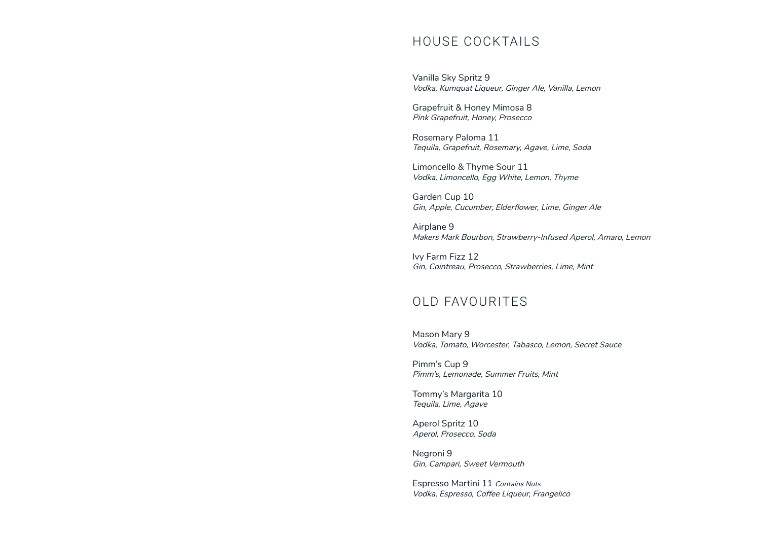## HOUSE COCKTAILS

Vanilla Sky Spritz 9 Vodka, Kumquat Liqueur, Ginger Ale, Vanilla, Lemon

Grapefruit & Honey Mimosa 8 Pink Grapefruit, Honey, Prosecco

Rosemary Paloma 11 Tequila, Grapefruit, Rosemary, Agave, Lime, Soda

Limoncello & Thyme Sour 11 Vodka, Limoncello, Egg White, Lemon, Thyme

Garden Cup 10 Gin, Apple, Cucumber, Elderflower, Lime, Ginger Ale

Airplane 9 Makers Mark Bourbon, Strawberry-Infused Aperol, Amaro, Lemon

Ivy Farm Fizz 12 Gin, Cointreau, Prosecco, Strawberries, Lime, Mint

## OLD FAVOURITES

Mason Mary 9 Vodka, Tomato, Worcester, Tabasco, Lemon, Secret Sauce

Pimm's Cup 9 Pimm's, Lemonade, Summer Fruits, Mint

Tommy's Margarita 10 Tequila, Lime, Agave

Aperol Spritz 10 Aperol, Prosecco, Soda

Negroni 9 Gin, Campari, Sweet Vermouth

Espresso Martini 11 Contains Nuts Vodka, Espresso, Coffee Liqueur, Frangelico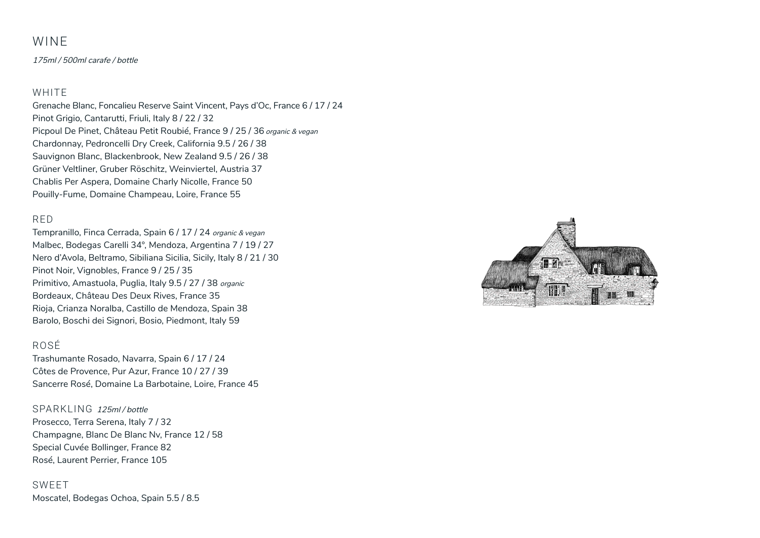### WINE

175ml / 500ml carafe / bottle

### WHITE

Grenache Blanc, Foncalieu Reserve Saint Vincent, Pays d'Oc, France 6 / 17 / 24 Pinot Grigio, Cantarutti, Friuli, Italy 8 / 22 / 32 Picpoul De Pinet, Château Petit Roubié, France 9 / 25 / 36 organic & vegan Chardonnay, Pedroncelli Dry Creek, California 9.5 / 26 / 38 Sauvignon Blanc, Blackenbrook, New Zealand 9.5 / 26 / 38 Grüner Veltliner, Gruber Röschitz, Weinviertel, Austria 37 Chablis Per Aspera, Domaine Charly Nicolle, France 50 Pouilly-Fume, Domaine Champeau, Loire, France 55

### RED

Tempranillo, Finca Cerrada, Spain 6 / 17 / 24 organic & vegan Malbec, Bodegas Carelli 34°, Mendoza, Argentina 7 / 19 / 27 Nero d'Avola, Beltramo, Sibiliana Sicilia, Sicily, Italy 8 / 21 / 30 Pinot Noir, Vignobles, France 9 / 25 / 35 Primitivo, Amastuola, Puglia, Italy 9.5 / 27 / 38 organic Bordeaux, Château Des Deux Rives, France 35 Rioja, Crianza Noralba, Castillo de Mendoza, Spain 38 Barolo, Boschi dei Signori, Bosio, Piedmont, Italy 59

### ROSÉ

Trashumante Rosado, Navarra, Spain 6 / 17 / 24 Côtes de Provence, Pur Azur, France 10 / 27 / 39 Sancerre Rosé, Domaine La Barbotaine, Loire, France 45

### SPARKLING 125ml / bottle

Prosecco, Terra Serena, Italy 7 / 32 Champagne, Blanc De Blanc Nv, France 12 / 58 Special Cuvée Bollinger, France 82 Rosé, Laurent Perrier, France 105

SWEET Moscatel, Bodegas Ochoa, Spain 5.5 / 8.5

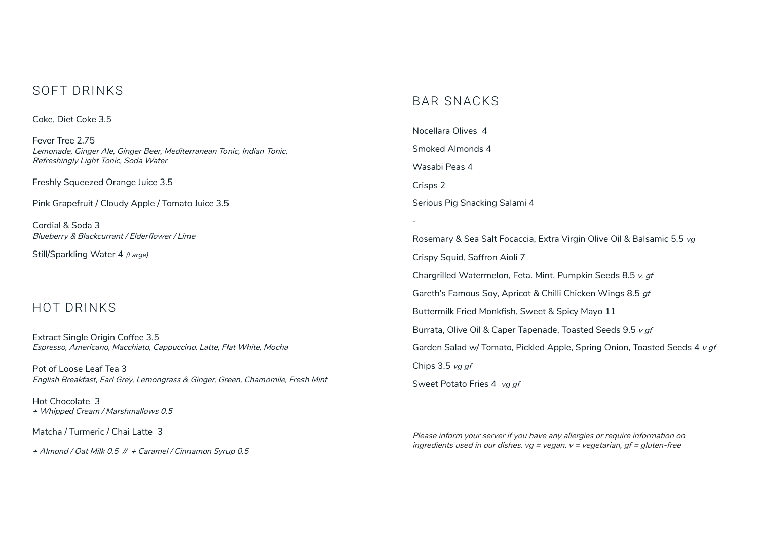## SOFT DRINKS

Coke, Diet Coke 3.5

Fever Tree 2.75 Lemonade, Ginger Ale, Ginger Beer, Mediterranean Tonic, Indian Tonic, Refreshingly Light Tonic, Soda Water

Freshly Squeezed Orange Juice 3.5

Pink Grapefruit / Cloudy Apple / Tomato Juice 3.5

Cordial & Soda 3 Blueberry & Blackcurrant / Elderflower / Lime

Still/Sparkling Water 4 (Large)

## HOT DRINKS

Extract Single Origin Coffee 3.5 Espresso, Americano, Macchiato, Cappuccino, Latte, Flat White, Mocha

Pot of Loose Leaf Tea 3 English Breakfast, Earl Grey, Lemongrass & Ginger, Green, Chamomile, Fresh Mint

Hot Chocolate 3 + Whipped Cream / Marshmallows 0.5

Matcha / Turmeric / Chai Latte 3

+ Almond / Oat Milk 0.5 // + Caramel / Cinnamon Syrup 0.5

## BAR SNACKS

Nocellara Olives 4 Smoked Almonds 4 Wasabi Peas 4 Crisps 2 Serious Pig Snacking Salami 4 - Rosemary & Sea Salt Focaccia, Extra Virgin Olive Oil & Balsamic 5.5 vg Crispy Squid, Saffron Aioli 7 Chargrilled Watermelon, Feta. Mint, Pumpkin Seeds 8.5 v, gf

Gareth's Famous Soy, Apricot & Chilli Chicken Wings 8.5 gf

Buttermilk Fried Monkfish, Sweet & Spicy Mayo 11

Burrata, Olive Oil & Caper Tapenade, Toasted Seeds 9.5 v gf

Garden Salad w/ Tomato, Pickled Apple, Spring Onion, Toasted Seeds 4 v gf

Chips 3.5 vg gf

Sweet Potato Fries 4 vg gf

Please inform your server if you have any allergies or require information on ingredients used in our dishes.  $vg = vega$ ,  $v = vega$  and  $gf = gluten-free$